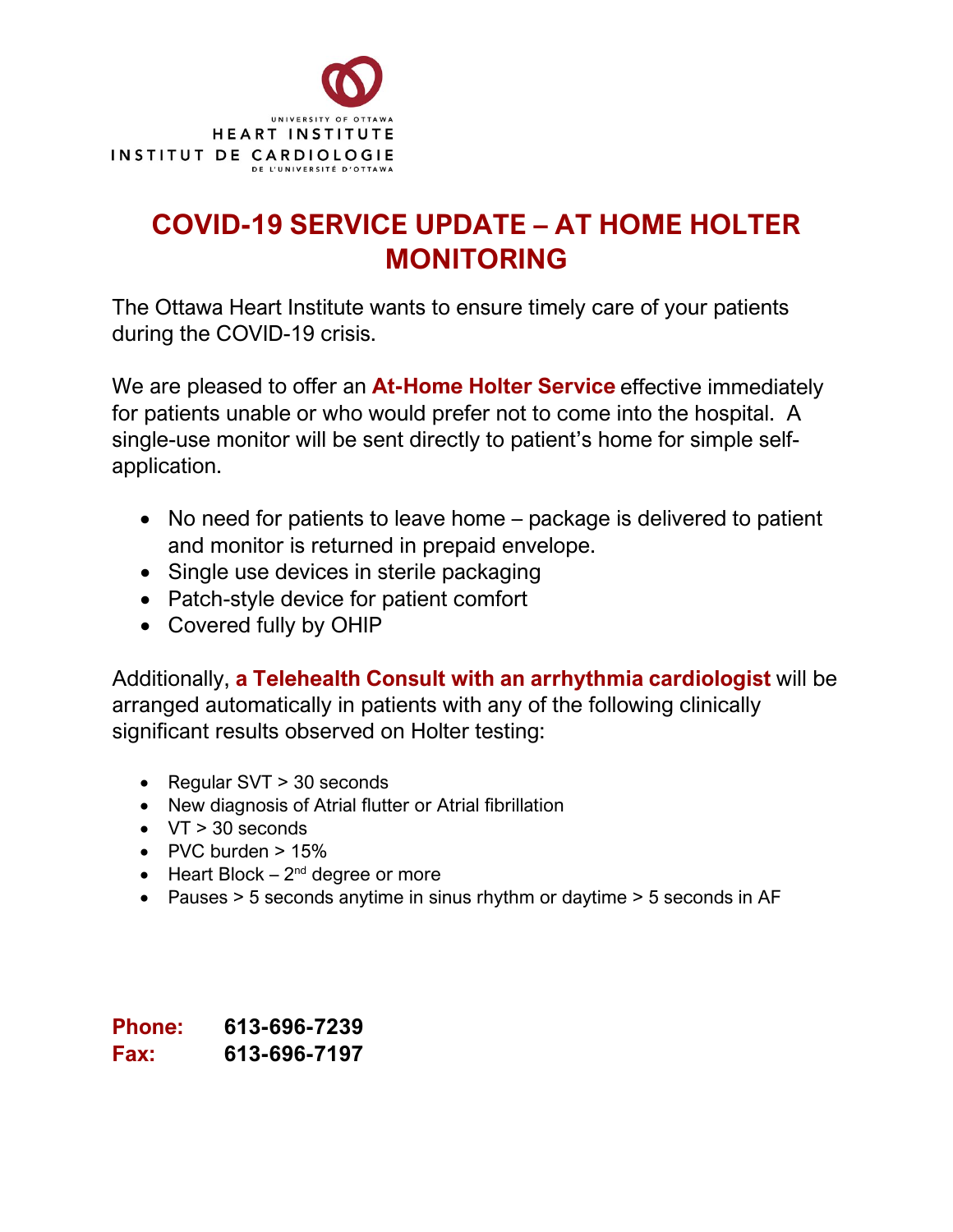

## **COVID-19 SERVICE UPDATE – AT HOME HOLTER MONITORING**

The Ottawa Heart Institute wants to ensure timely care of your patients during the COVID-19 crisis.

We are pleased to offer an **At-Home Holter Service** effective immediately for patients unable or who would prefer not to come into the hospital. A single-use monitor will be sent directly to patient's home for simple selfapplication.

- No need for patients to leave home package is delivered to patient and monitor is returned in prepaid envelope.
- Single use devices in sterile packaging
- Patch-style device for patient comfort
- Covered fully by OHIP

Additionally, **a Telehealth Consult with an arrhythmia cardiologist** will be arranged automatically in patients with any of the following clinically significant results observed on Holter testing:

- Regular SVT > 30 seconds
- New diagnosis of Atrial flutter or Atrial fibrillation
- VT > 30 seconds
- PVC burden  $> 15\%$
- Heart Block  $2^{nd}$  degree or more
- Pauses > 5 seconds anytime in sinus rhythm or daytime > 5 seconds in AF

**Phone: 613-696-7239 Fax: 613-696-7197**